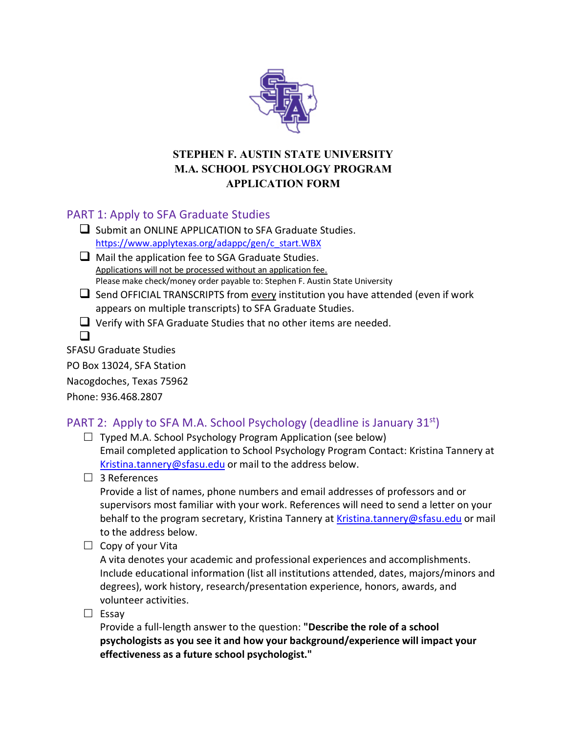

## **STEPHEN F. AUSTIN STATE UNIVERSITY M.A. SCHOOL PSYCHOLOGY PROGRAM APPLICATION FORM**

## PART 1: Apply to SFA Graduate Studies

- $\Box$  Submit an ONLINE APPLICATION to SFA Graduate Studies. [https://www.applytexas.org/adappc/gen/c\\_start.WBX](https://www.applytexas.org/adappc/gen/c_start.WBX)
- $\Box$  Mail the application fee to SGA Graduate Studies. Applications will not be processed without an application fee. Please make check/money order payable to: Stephen F. Austin State University
- $\square$  Send OFFICIAL TRANSCRIPTS from every institution you have attended (even if work appears on multiple transcripts) to SFA Graduate Studies.
- $\Box$  Verify with SFA Graduate Studies that no other items are needed.

 $\Box$ 

SFASU Graduate Studies

PO Box 13024, SFA Station

Nacogdoches, Texas 75962

Phone: 936.468.2807

# PART 2: Apply to SFA M.A. School Psychology (deadline is January 31<sup>st</sup>)

- $\Box$  Typed M.A. School Psychology Program Application (see below) Email completed application to School Psychology Program Contact: Kristina Tannery at [Kristina.tannery@sfasu.edu](mailto:Kristina.tannery@sfasu.edu) or mail to the address below.
- $\Box$  3 References

Provide a list of names, phone numbers and email addresses of professors and or supervisors most familiar with your work. References will need to send a letter on your behalf to the program secretary, Kristina Tannery at [Kristina.tannery@sfasu.edu](mailto:Kristina.tannery@sfasu.edu) or mail to the address below.

 $\Box$  Copy of your Vita

A vita denotes your academic and professional experiences and accomplishments. Include educational information (list all institutions attended, dates, majors/minors and degrees), work history, research/presentation experience, honors, awards, and volunteer activities.

 $\square$  Essav

Provide a full-length answer to the question: **"Describe the role of a school psychologists as you see it and how your background/experience will impact your effectiveness as a future school psychologist."**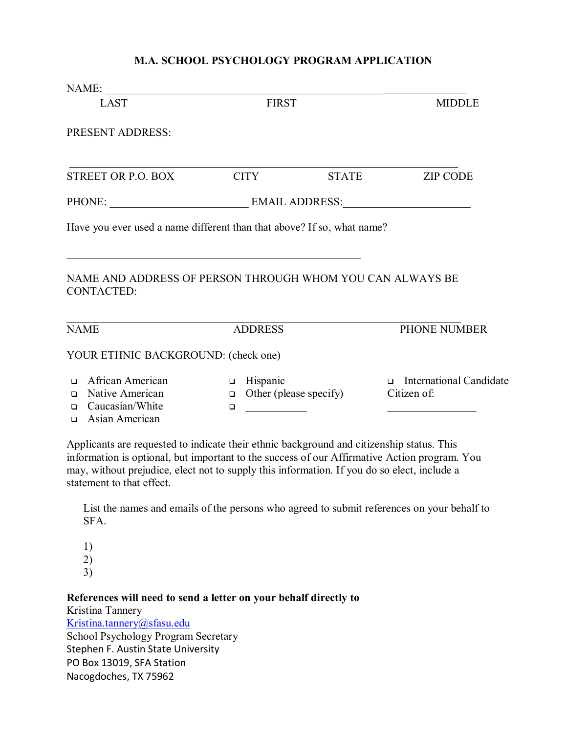#### **M.A. SCHOOL PSYCHOLOGY PROGRAM APPLICATION**

| NAME:                                                                                                                                                                                                                                                                                                                 |                                                                            |                        |                                        |  |
|-----------------------------------------------------------------------------------------------------------------------------------------------------------------------------------------------------------------------------------------------------------------------------------------------------------------------|----------------------------------------------------------------------------|------------------------|----------------------------------------|--|
| <b>LAST</b>                                                                                                                                                                                                                                                                                                           |                                                                            | <b>FIRST</b>           |                                        |  |
| PRESENT ADDRESS:                                                                                                                                                                                                                                                                                                      |                                                                            |                        |                                        |  |
| <b>STREET OR P.O. BOX</b>                                                                                                                                                                                                                                                                                             | <b>CITY</b>                                                                | <b>STATE</b>           | <b>ZIP CODE</b>                        |  |
|                                                                                                                                                                                                                                                                                                                       |                                                                            | PHONE: EMAIL ADDRESS:  |                                        |  |
| Have you ever used a name different than that above? If so, what name?                                                                                                                                                                                                                                                |                                                                            |                        |                                        |  |
| NAME AND ADDRESS OF PERSON THROUGH WHOM YOU CAN ALWAYS BE<br><b>CONTACTED:</b><br><b>NAME</b>                                                                                                                                                                                                                         | <b>ADDRESS</b>                                                             |                        | PHONE NUMBER                           |  |
| YOUR ETHNIC BACKGROUND: (check one)                                                                                                                                                                                                                                                                                   |                                                                            |                        |                                        |  |
| African American<br>$\Box$<br>Native American<br>$\Box$<br>Caucasian/White<br>$\Box$<br>Asian American<br>$\Box$                                                                                                                                                                                                      | Hispanic<br>$\Box$<br>$\Box$<br>$\Box$<br><u> 1999 - Johann Barnett, f</u> | Other (please specify) | International Candidate<br>Citizen of: |  |
| Applicants are requested to indicate their ethnic background and citizenship status. This<br>information is optional, but important to the success of our Affirmative Action program. You<br>may, without prejudice, elect not to supply this information. If you do so elect, include a<br>statement to that effect. |                                                                            |                        |                                        |  |

List the names and emails of the persons who agreed to submit references on your behalf to SFA.

1) 2) 3)

#### **References will need to send a letter on your behalf directly to**

Kristina Tannery [Kristina.tannery@sfasu.edu](mailto:Kristina.tannery@sfasu.edu) School Psychology Program Secretary Stephen F. Austin State University PO Box 13019, SFA Station Nacogdoches, TX 75962